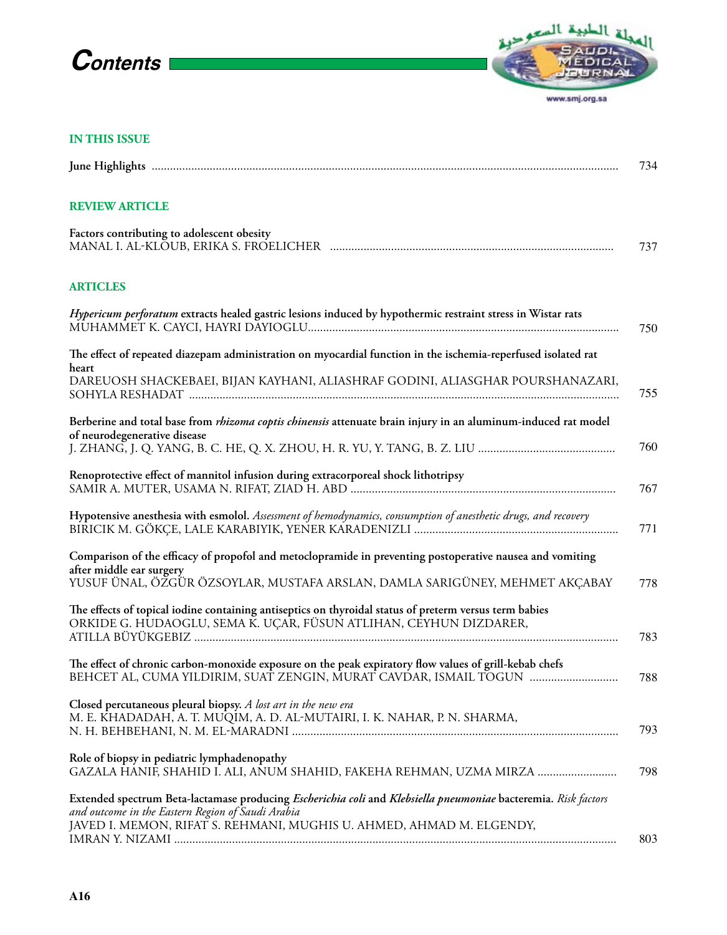## **Contents**



www.smj.org.sa

## **IN THIS ISSUE**

|                                                                                                                                                                                                                                             | 734 |
|---------------------------------------------------------------------------------------------------------------------------------------------------------------------------------------------------------------------------------------------|-----|
| <b>REVIEW ARTICLE</b>                                                                                                                                                                                                                       |     |
| Factors contributing to adolescent obesity                                                                                                                                                                                                  | 737 |
| <b>ARTICLES</b>                                                                                                                                                                                                                             |     |
| Hypericum perforatum extracts healed gastric lesions induced by hypothermic restraint stress in Wistar rats                                                                                                                                 | 750 |
| The effect of repeated diazepam administration on myocardial function in the ischemia-reperfused isolated rat<br>heart                                                                                                                      |     |
| DAREUOSH SHACKEBAEI, BIJAN KAYHANI, ALIASHRAF GODINI, ALIASGHAR POURSHANAZARI,                                                                                                                                                              | 755 |
| Berberine and total base from <i>rhizoma coptis chinensis</i> attenuate brain injury in an aluminum-induced rat model<br>of neurodegenerative disease                                                                                       | 760 |
| Renoprotective effect of mannitol infusion during extracorporeal shock lithotripsy                                                                                                                                                          | 767 |
| Hypotensive anesthesia with esmolol. Assessment of hemodynamics, consumption of anesthetic drugs, and recovery                                                                                                                              | 771 |
| Comparison of the efficacy of propofol and metoclopramide in preventing postoperative nausea and vomiting<br>after middle ear surgery<br>YUSUF ÜNAL, ÖZGÜR ÖZSOYLAR, MUSTAFA ARSLAN, DAMLA SARIGÜNEY, MEHMET AKÇABAY                        | 778 |
| The effects of topical iodine containing antiseptics on thyroidal status of preterm versus term babies<br>ORKIDE G. HUDAOGLU, SEMA K. UÇAR, FÜSUN ATLIHAN, CEYHUN DIZDARER,                                                                 | 783 |
| The effect of chronic carbon-monoxide exposure on the peak expiratory flow values of grill-kebab chefs<br>BEHCET AL, CUMA YILDIRIM, SUAT ZENGIN, MURAT CAVDAR, ISMAIL TOGUN                                                                 | 788 |
| Closed percutaneous pleural biopsy. A lost art in the new era<br>M. E. KHADADAH, A. T. MUQIM, A. D. AL-MUTAIRI, I. K. NAHAR, P. N. SHARMA,                                                                                                  | 793 |
| Role of biopsy in pediatric lymphadenopathy<br>GAZALA HANIF, SHAHID I. ALI, ANUM SHAHID, FAKEHA REHMAN, UZMA MIRZA                                                                                                                          | 798 |
| Extended spectrum Beta-lactamase producing Escherichia coli and Klebsiella pneumoniae bacteremia. Risk factors<br>and outcome in the Eastern Region of Saudi Arabia<br>JAVED I. MEMON, RIFAT S. REHMANI, MUGHIS U. AHMED, AHMAD M. ELGENDY, | 803 |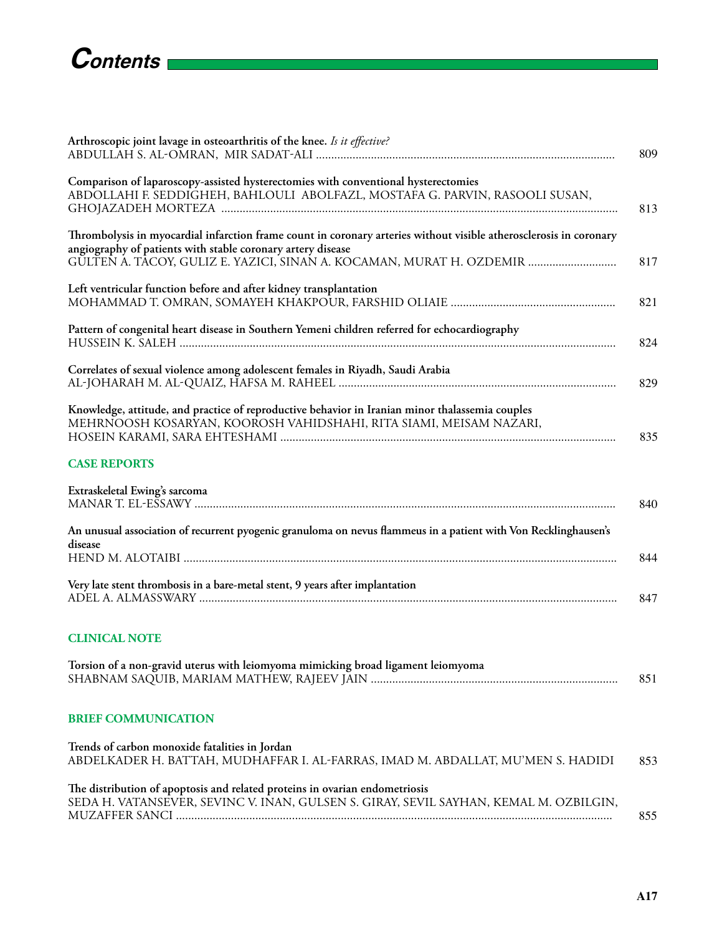| Arthroscopic joint lavage in osteoarthritis of the knee. Is it effective?                                                                                                         | 809 |
|-----------------------------------------------------------------------------------------------------------------------------------------------------------------------------------|-----|
| Comparison of laparoscopy-assisted hysterectomies with conventional hysterectomies<br>ABDOLLAHI F. SEDDIGHEH, BAHLOULI ABOLFAZL, MOSTAFA G. PARVIN, RASOOLI SUSAN,                | 813 |
| Thrombolysis in myocardial infarction frame count in coronary arteries without visible atherosclerosis in coronary<br>angiography of patients with stable coronary artery disease |     |
| GULTEN A. TACOY, GULIZ E. YAZICI, SINAN A. KOCAMAN, MURAT H. OZDEMIR                                                                                                              | 817 |
| Left ventricular function before and after kidney transplantation                                                                                                                 | 821 |
| Pattern of congenital heart disease in Southern Yemeni children referred for echocardiography                                                                                     | 824 |
| Correlates of sexual violence among adolescent females in Riyadh, Saudi Arabia                                                                                                    | 829 |
| Knowledge, attitude, and practice of reproductive behavior in Iranian minor thalassemia couples<br>MEHRNOOSH KOSARYAN, KOOROSH VAHIDSHAHI, RITA SIAMI, MEISAM NAZARI,             | 835 |
| <b>CASE REPORTS</b>                                                                                                                                                               |     |
| Extraskeletal Ewing's sarcoma                                                                                                                                                     | 840 |
| An unusual association of recurrent pyogenic granuloma on nevus flammeus in a patient with Von Recklinghausen's<br>disease                                                        | 844 |
| Very late stent thrombosis in a bare-metal stent, 9 years after implantation                                                                                                      | 847 |
| <b>CLINICAL NOTE</b>                                                                                                                                                              |     |
| Torsion of a non-gravid uterus with leiomyoma mimicking broad ligament leiomyoma                                                                                                  | 851 |
| <b>BRIEF COMMUNICATION</b>                                                                                                                                                        |     |
| Trends of carbon monoxide fatalities in Jordan<br>ABDELKADER H. BATTAH, MUDHAFFAR I. AL-FARRAS, IMAD M. ABDALLAT, MU'MEN S. HADIDI                                                | 853 |
| The distribution of apoptosis and related proteins in ovarian endometriosis<br>SEDA H. VATANSEVER, SEVINC V. INAN, GULSEN S. GIRAY, SEVIL SAYHAN, KEMAL M. OZBILGIN,              | 855 |